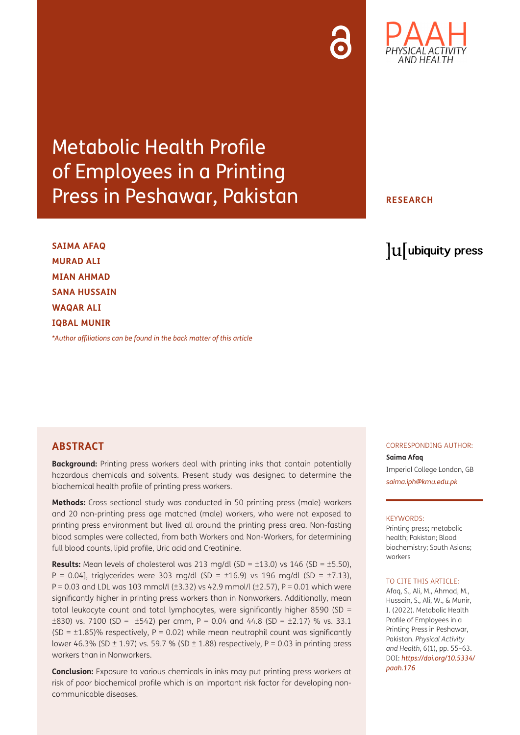Metabolic Health Profile of Employees in a Printing Press in Peshawar, Pakistan

**SAIMA AFAQ MURAD ALI MIAN AHMAD SANA HUSSAIN WAQAR ALI IQBAL MUNIR**

*[\\*Author affiliations can be found in the back matter of this article](#page-6-0)*

#### **ABSTRACT**

**Background:** Printing press workers deal with printing inks that contain potentially hazardous chemicals and solvents. Present study was designed to determine the biochemical health profile of printing press workers.

**Methods:** Cross sectional study was conducted in 50 printing press (male) workers and 20 non-printing press age matched (male) workers, who were not exposed to printing press environment but lived all around the printing press area. Non-fasting blood samples were collected, from both Workers and Non-Workers, for determining full blood counts, lipid profile, Uric acid and Creatinine.

**Results:** Mean levels of cholesterol was 213 mg/dl (SD =  $\pm$ 13.0) vs 146 (SD =  $\pm$ 5.50),  $P = 0.04$ , triglycerides were 303 mg/dl (SD = ±16.9) vs 196 mg/dl (SD = ±7.13), P = 0.03 and LDL was 103 mmol/l ( $\pm$ 3.32) vs 42.9 mmol/l ( $\pm$ 2.57), P = 0.01 which were significantly higher in printing press workers than in Nonworkers. Additionally, mean total leukocyte count and total lymphocytes, were significantly higher 8590 (SD =  $\pm$ 830) vs. 7100 (SD =  $\pm$ 542) per cmm, P = 0.04 and 44.8 (SD =  $\pm$ 2.17) % vs. 33.1 (SD =  $\pm$ 1.85)% respectively, P = 0.02) while mean neutrophil count was significantly lower 46.3% (SD  $\pm$  1.97) vs. 59.7 % (SD  $\pm$  1.88) respectively, P = 0.03 in printing press workers than in Nonworkers.

**Conclusion:** Exposure to various chemicals in inks may put printing press workers at risk of poor biochemical profile which is an important risk factor for developing noncommunicable diseases.

CORRESPONDING AUTHOR: **Saima Afaq**

Imperial College London, GB *[saima.iph@kmu.edu.pk](mailto:saima.iph@kmu.edu.pk)*

#### KEYWORDS:

Printing press; metabolic health; Pakistan; Blood biochemistry; South Asians; workers

#### TO CITE THIS ARTICLE:

Afaq, S., Ali, M., Ahmad, M., Hussain, S., Ali, W., & Munir, I. (2022). Metabolic Health Profile of Employees in a Printing Press in Peshawar, Pakistan. *Physical Activity and Health*, 6(1), pp. 55–63. DOI: *[https://doi.org/10.5334/](https://doi.org/10.5334/paah.176) [paah.176](https://doi.org/10.5334/paah.176)*

### **RESEARCH**

lu ubiquity press

# AND HFAI TH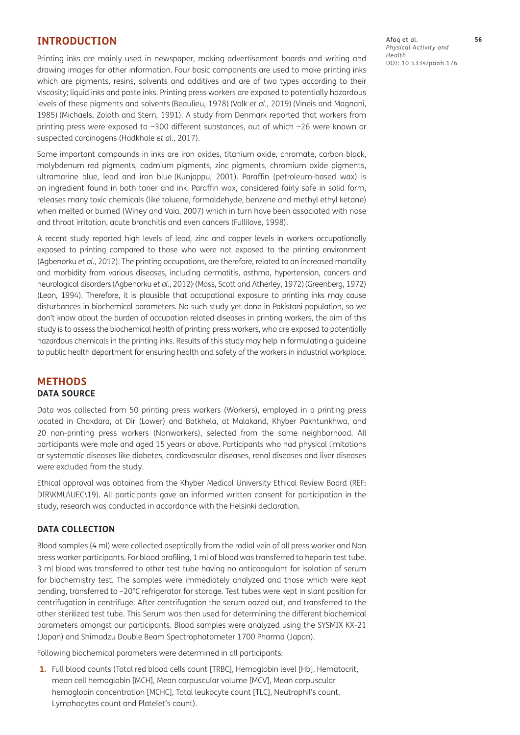#### **INTRODUCTION**

Printing inks are mainly used in newspaper, making advertisement boards and writing and drawing images for other information. Four basic components are used to make printing inks which are pigments, resins, solvents and additives and are of two types according to their viscosity; liquid inks and paste inks. Printing press workers are exposed to potentially hazardous levels of these pigments and solvents [\(Beaulieu, 1978](#page-7-0)) (Volk *et al.*[, 2019](#page-8-0)) ([Vineis and Magnani,](#page-8-1)  [1985](#page-8-1)) ([Michaels, Zoloth and Stern, 1991\)](#page-7-1). A study from Denmark reported that workers from printing press were exposed to ~300 different substances, out of which ~26 were known or suspected carcinogens [\(Hadkhale](#page-7-2) *et al.*, 2017).

Some important compounds in inks are iron oxides, titanium oxide, chromate, carbon black, molybdenum red pigments, cadmium pigments, zinc pigments, chromium oxide pigments, ultramarine blue, lead and iron blue [\(Kunjappu, 2001\)](#page-7-3). Paraffin (petroleum-based wax) is an ingredient found in both toner and ink. Paraffin wax, considered fairly safe in solid form, releases many toxic chemicals (like toluene, formaldehyde, benzene and methyl ethyl ketone) when melted or burned ([Winey and Vaia, 2007\)](#page-8-2) which in turn have been associated with nose and throat irritation, acute bronchitis and even cancers ([Fullilove, 1998\)](#page-7-4).

A recent study reported high levels of lead, zinc and copper levels in workers occupationally exposed to printing compared to those who were not exposed to the printing environment [\(Agbenorku](#page-6-1) *et al.*, 2012). The printing occupations, are therefore, related to an increased mortality and morbidity from various diseases, including dermatitis, asthma, hypertension, cancers and neurological disorders[\(Agbenorku](#page-6-1) *et al.*, 2012) , [\(Moss, Scott and Atherley, 1972](#page-7-5))[\(Greenberg, 1972\)](#page-7-6) [\(Leon, 1994](#page-7-7)). Therefore, it is plausible that occupational exposure to printing inks may cause disturbances in biochemical parameters. No such study yet done in Pakistani population, so we don't know about the burden of occupation related diseases in printing workers, the aim of this study is to assess the biochemical health of printing press workers, who are exposed to potentially hazardous chemicals in the printing inks. Results of this study may help in formulating a guideline to public health department for ensuring health and safety of the workers in industrial workplace.

#### **METHODS DATA SOURCE**

Data was collected from 50 printing press workers (Workers), employed in a printing press located in Chakdara, at Dir (Lower) and Batkhela, at Malakand, Khyber Pakhtunkhwa, and 20 non-printing press workers (Nonworkers), selected from the same neighborhood. All participants were male and aged 15 years or above. Participants who had physical limitations or systematic diseases like diabetes, cardiovascular diseases, renal diseases and liver diseases were excluded from the study.

Ethical approval was obtained from the Khyber Medical University Ethical Review Board (REF: DIR\KMU\UEC\19). All participants gave an informed written consent for participation in the study, research was conducted in accordance with the Helsinki declaration.

#### **DATA COLLECTION**

Blood samples (4 ml) were collected aseptically from the radial vein of all press worker and Non press worker participants. For blood profiling, 1 ml of blood was transferred to heparin test tube. 3 ml blood was transferred to other test tube having no anticoagulant for isolation of serum for biochemistry test. The samples were immediately analyzed and those which were kept pending, transferred to –20°C refrigerator for storage. Test tubes were kept in slant position for centrifugation in centrifuge. After centrifugation the serum oozed out, and transferred to the other sterilized test tube. This Serum was then used for determining the different biochemical parameters amongst our participants. Blood samples were analyzed using the SYSMIX KX-21 (Japan) and Shimadzu Double Beam Spectrophotometer 1700 Pharma (Japan).

Following biochemical parameters were determined in all participants:

**1.** Full blood counts (Total red blood cells count [TRBC], Hemoglobin level [Hb], Hematocrit, mean cell hemoglobin [MCH], Mean corpuscular volume [MCV], Mean corpuscular hemoglobin concentration [MCHC], Total leukocyte count [TLC], Neutrophil's count, Lymphocytes count and Platelet's count).

Afaq et al. **56** *Physical Activity and Health* DOI: 10.5334/paah.176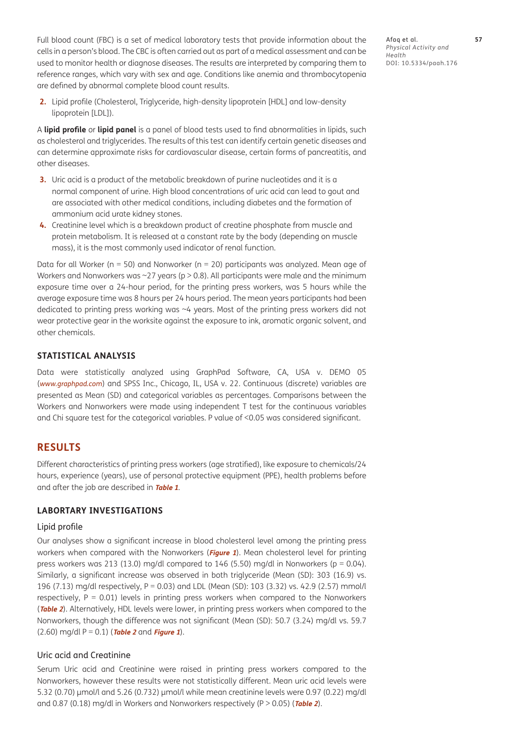Full blood count (FBC) is a set of medical laboratory tests that provide information about the cells in a person's blood. The CBC is often carried out as part of a medical assessment and can be used to monitor health or diagnose diseases. The results are interpreted by comparing them to reference ranges, which vary with sex and age. Conditions like anemia and thrombocytopenia are defined by abnormal complete blood count results.

- Afaq et al. **57** *Physical Activity and Health* DOI: 10.5334/paah.176
- **2.** Lipid profile (Cholesterol, Triglyceride, high-density lipoprotein [HDL] and low-density lipoprotein [LDL]).

A **lipid profile** or **lipid panel** is a panel of blood tests used to find abnormalities in lipids, such as cholesterol and triglycerides. The results of this test can identify certain genetic diseases and can determine approximate risks for cardiovascular disease, certain forms of pancreatitis, and other diseases.

- **3.** Uric acid is a product of the metabolic breakdown of purine nucleotides and it is a normal component of urine. High blood concentrations of uric acid can lead to gout and are associated with other medical conditions, including diabetes and the formation of ammonium acid urate kidney stones.
- **4.** Creatinine level which is a breakdown product of creatine phosphate from muscle and protein metabolism. It is released at a constant rate by the body (depending on muscle mass), it is the most commonly used indicator of renal function.

Data for all Worker ( $n = 50$ ) and Nonworker ( $n = 20$ ) participants was analyzed. Mean age of Workers and Nonworkers was  $\sim$  27 years (p > 0.8). All participants were male and the minimum exposure time over a 24-hour period, for the printing press workers, was 5 hours while the average exposure time was 8 hours per 24 hours period. The mean years participants had been dedicated to printing press working was ~4 years. Most of the printing press workers did not wear protective gear in the worksite against the exposure to ink, aromatic organic solvent, and other chemicals.

#### **STATISTICAL ANALYSIS**

Data were statistically analyzed using GraphPad Software, CA, USA v. DEMO 05 (*[www.graphpad.com](http://www.graphpad.com)*) and SPSS Inc., Chicago, IL, USA v. 22. Continuous (discrete) variables are presented as Mean (SD) and categorical variables as percentages. Comparisons between the Workers and Nonworkers were made using independent T test for the continuous variables and Chi square test for the categorical variables. P value of <0.05 was considered significant.

#### **RESULTS**

Different characteristics of printing press workers (age stratified), like exposure to chemicals/24 hours, experience (years), use of personal protective equipment (PPE), health problems before and after the job are described in **[Table 1](#page-3-0)**.

#### **LABORTARY INVESTIGATIONS**

#### Lipid profile

Our analyses show a significant increase in blood cholesterol level among the printing press workers when compared with the Nonworkers (**[Figure 1](#page-3-1)**). Mean cholesterol level for printing press workers was 213 (13.0) mg/dl compared to 146 (5.50) mg/dl in Nonworkers ( $p = 0.04$ ). Similarly, a significant increase was observed in both triglyceride (Mean (SD): 303 (16.9) vs. 196 (7.13) mg/dl respectively, P = 0.03) and LDL (Mean (SD): 103 (3.32) vs. 42.9 (2.57) mmol/l respectively,  $P = 0.01$ ) levels in printing press workers when compared to the Nonworkers (**[Table 2](#page-3-2)**). Alternatively, HDL levels were lower, in printing press workers when compared to the Nonworkers, though the difference was not significant (Mean (SD): 50.7 (3.24) mg/dl vs. 59.7 (2.60) mg/dl P = 0.1) (**[Table 2](#page-3-2)** and **[Figure 1](#page-3-1)**).

#### Uric acid and Creatinine

Serum Uric acid and Creatinine were raised in printing press workers compared to the Nonworkers, however these results were not statistically different. Mean uric acid levels were 5.32 (0.70) µmol/l and 5.26 (0.732) µmol/l while mean creatinine levels were 0.97 (0.22) mg/dl and 0.87 (0.18) mg/dl in Workers and Nonworkers respectively (P > 0.05) (**[Table 2](#page-3-2)**).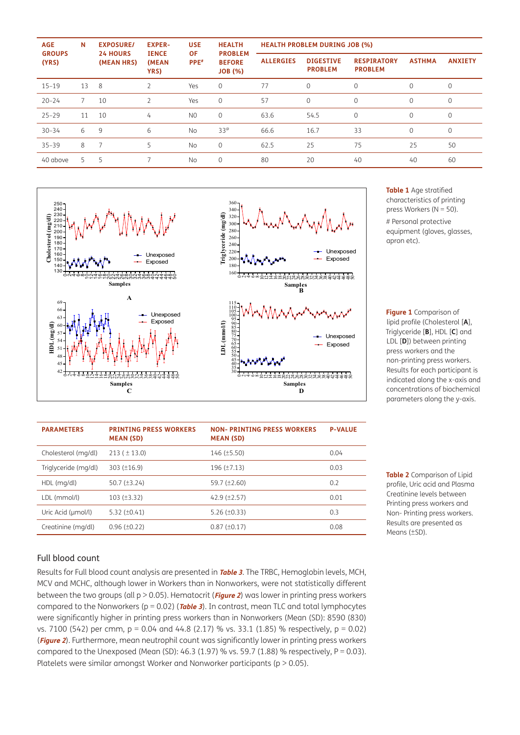| <b>AGE</b><br><b>GROUPS</b><br>(YRS) | N  | <b>EXPOSURE/</b><br><b>24 HOURS</b><br>(MEAN HRS) | <b>EXPER-</b><br><b>IENCE</b><br>(MEAN<br>YRS) | <b>USE</b><br>ΟF<br>PPE <sup>#</sup> | <b>HEALTH</b><br><b>PROBLEM</b><br><b>BEFORE</b><br><b>JOB</b> (%) | <b>HEALTH PROBLEM DURING JOB (%)</b> |                                    |                                      |               |                |
|--------------------------------------|----|---------------------------------------------------|------------------------------------------------|--------------------------------------|--------------------------------------------------------------------|--------------------------------------|------------------------------------|--------------------------------------|---------------|----------------|
|                                      |    |                                                   |                                                |                                      |                                                                    | <b>ALLERGIES</b>                     | <b>DIGESTIVE</b><br><b>PROBLEM</b> | <b>RESPIRATORY</b><br><b>PROBLEM</b> | <b>ASTHMA</b> | <b>ANXIETY</b> |
| $15 - 19$                            | 13 | 8                                                 | $\overline{2}$                                 | Yes                                  | $\mathbf{0}$                                                       | 77                                   | $\Omega$                           | $\Omega$                             | $\Omega$      | 0              |
| $20 - 24$                            |    | 10                                                | $\overline{2}$                                 | Yes                                  | $\mathbf{0}$                                                       | 57                                   | $\mathbf 0$                        | $\mathbf 0$                          | $\mathbf 0$   | 0              |
| $25 - 29$                            | 11 | 10                                                | 4                                              | N <sub>0</sub>                       | $\mathbf 0$                                                        | 63.6                                 | 54.5                               | $\mathbf{0}$                         | $\mathbf{0}$  | 0              |
| $30 - 34$                            | 6  | 9                                                 | 6                                              | <b>No</b>                            | $33^\circ$                                                         | 66.6                                 | 16.7                               | 33                                   | $\Omega$      | $\Omega$       |
| $35 - 39$                            | 8  | 7                                                 | 5                                              | <b>No</b>                            | $\mathbf{0}$                                                       | 62.5                                 | 25                                 | 75                                   | 25            | 50             |
| 40 above                             | 5  | 5                                                 |                                                | <b>No</b>                            | $\mathbf 0$                                                        | 80                                   | 20                                 | 40                                   | 40            | 60             |



<span id="page-3-0"></span>**Table 1** Age stratified characteristics of printing press Workers (N = 50).

# Personal protective equipment (gloves, glasses, apron etc).

<span id="page-3-1"></span>**Figure 1** Comparison of lipid profile (Cholesterol [**A**], Triglyceride [**B**], HDL [**C**] and LDL [**D**]) between printing press workers and the non-printing press workers. Results for each participant is indicated along the x-axis and concentrations of biochemical parameters along the y-axis.

| <b>PARAMETERS</b>    | <b>PRINTING PRESS WORKERS</b><br><b>MEAN (SD)</b> | <b>NON- PRINTING PRESS WORKERS</b><br><b>MEAN (SD)</b> | <b>P-VALUE</b> |
|----------------------|---------------------------------------------------|--------------------------------------------------------|----------------|
| Cholesterol (mg/dl)  | $213 (\pm 13.0)$                                  | $146 (\pm 5.50)$                                       | 0.04           |
| Triglyceride (mg/dl) | $303 (\pm 16.9)$                                  | $196 (\pm 7.13)$                                       | 0.03           |
| HDL (mg/dl)          | 50.7 $(\pm 3.24)$                                 | 59.7 $(\pm 2.60)$                                      | 0.2            |
| LDL (mmol/l)         | $103 (\pm 3.32)$                                  | $42.9$ ( $\pm 2.57$ )                                  | 0.01           |
| Uric Acid (µmol/l)   | $5.32 (\pm 0.41)$                                 | $5.26 (\pm 0.33)$                                      | 0.3            |
| Creatinine (mg/dl)   | $0.96 (\pm 0.22)$                                 | $0.87 (\pm 0.17)$                                      | 0.08           |

<span id="page-3-2"></span>**Table 2** Comparison of Lipid profile, Uric acid and Plasma Creatinine levels between Printing press workers and Non- Printing press workers. Results are presented as Means (±SD).

#### Full blood count

Results for Full blood count analysis are presented in **[Table 3](#page-4-0)**. The TRBC, Hemoglobin levels, MCH, MCV and MCHC, although lower in Workers than in Nonworkers, were not statistically different between the two groups (all p > 0.05). Hematocrit (**[Figure 2](#page-4-1)**) was lower in printing press workers compared to the Nonworkers (p = 0.02) (**[Table 3](#page-4-0)**). In contrast, mean TLC and total lymphocytes were significantly higher in printing press workers than in Nonworkers (Mean (SD): 8590 (830) vs. 7100 (542) per cmm, p = 0.04 and 44.8 (2.17) % vs. 33.1 (1.85) % respectively, p = 0.02) (**[Figure 2](#page-4-1)**). Furthermore, mean neutrophil count was significantly lower in printing press workers compared to the Unexposed (Mean (SD): 46.3 (1.97) % vs. 59.7 (1.88) % respectively,  $P = 0.03$ ). Platelets were similar amongst Worker and Nonworker participants ( $p > 0.05$ ).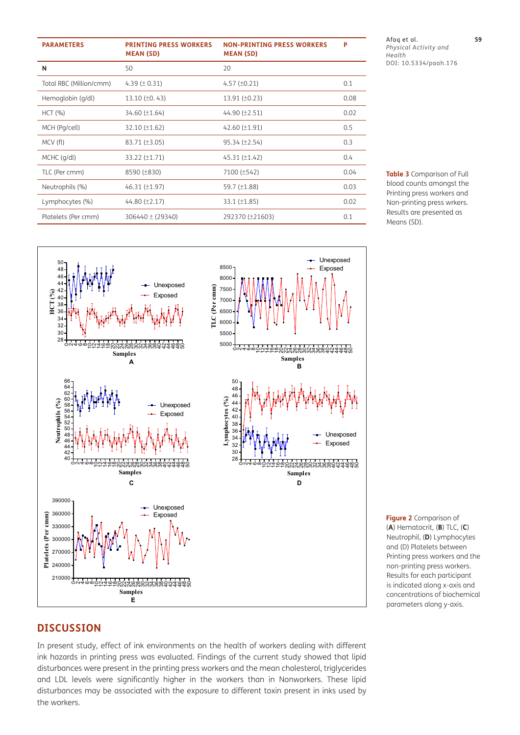| <b>PARAMETERS</b>       | <b>PRINTING PRESS WORKERS</b><br><b>MEAN (SD)</b> | <b>NON-PRINTING PRESS WORKERS</b><br><b>MEAN (SD)</b> | P    |
|-------------------------|---------------------------------------------------|-------------------------------------------------------|------|
| N                       | 50                                                | 20                                                    |      |
| Total RBC (Million/cmm) | 4.39 $(\pm 0.31)$                                 | $4.57 (\pm 0.21)$                                     | 0.1  |
| Hemoglobin (g/dl)       | 13.10 $(\pm 0.43)$                                | $13.91 (\pm 0.23)$                                    | 0.08 |
| HCT (%)                 | $34.60 (\pm 1.64)$                                | 44.90 (±2.51)                                         | 0.02 |
| MCH (Pg/cell)           | $32.10 (\pm 1.62)$                                | 42.60 $(\pm 1.91)$                                    | 0.5  |
| MCV (fl)                | $83.71 (\pm 3.05)$                                | 95.34 (±2.54)                                         | 0.3  |
| MCHC (g/dl)             | 33.22 (±1.71)                                     | $45.31 (\pm 1.42)$                                    | 0.4  |
| TLC (Per cmm)           | 8590 (±830)                                       | 7100 (±542)                                           | 0.04 |
| Neutrophils (%)         | $46.31 (\pm 1.97)$                                | 59.7 $(\pm 1.88)$                                     | 0.03 |
| Lymphocytes (%)         | 44.80 $(\pm 2.17)$                                | $33.1 (\pm 1.85)$                                     | 0.02 |
| Platelets (Per cmm)     | $306440 \pm (29340)$                              | 292370 (±21603)                                       | 0.1  |



<span id="page-4-0"></span>**Table 3** Comparison of Full blood counts amongst the Printing press workers and Non-printing press wrkers. Results are presented as Means (SD).



<span id="page-4-1"></span>**Figure 2** Comparison of (**A**) Hematocrit, (**B**) TLC, (**C**) Neutrophil, (**D**) Lymphocytes and (D) Platelets between Printing press workers and the non-printing press workers. Results for each participant is indicated along x-axis and concentrations of biochemical parameters along y-axis.

#### **DISCUSSION**

In present study, effect of ink environments on the health of workers dealing with different ink hazards in printing press was evaluated. Findings of the current study showed that lipid disturbances were present in the printing press workers and the mean cholesterol, triglycerides and LDL levels were significantly higher in the workers than in Nonworkers. These lipid disturbances may be associated with the exposure to different toxin present in inks used by the workers.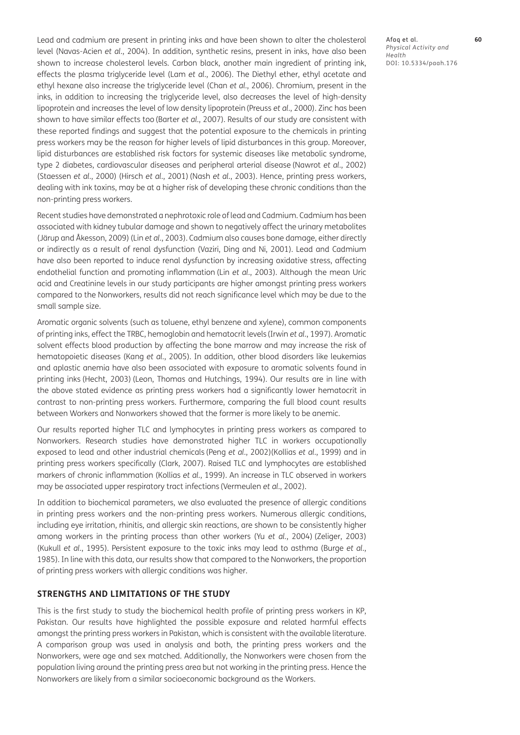Lead and cadmium are present in printing inks and have been shown to alter the cholesterol level ([Navas-Acien](#page-7-8) *et al.*, 2004). In addition, synthetic resins, present in inks, have also been shown to increase cholesterol levels. Carbon black, another main ingredient of printing ink, effects the plasma triglyceride level (Lam *et al.*[, 2006](#page-7-9)). The Diethyl ether, ethyl acetate and ethyl hexane also increase the triglyceride level (Chan *et al.*[, 2006\)](#page-7-10). Chromium, present in the inks, in addition to increasing the triglyceride level, also decreases the level of high-density lipoprotein and increases the level of low density lipoprotein[\(Preuss](#page-8-3) *et al.*, 2000). Zinc has been shown to have similar effects too [\(Barter](#page-6-2) *et al.*, 2007). Results of our study are consistent with these reported findings and suggest that the potential exposure to the chemicals in printing press workers may be the reason for higher levels of lipid disturbances in this group. Moreover, lipid disturbances are established risk factors for systemic diseases like metabolic syndrome, type 2 diabetes, cardiovascular diseases and peripheral arterial disease ([Nawrot](#page-7-11) *et al.*, 2002) [\(Staessen](#page-8-4) *et al.*, 2000) [\(Hirsch](#page-7-12) *et al.*, 2001) (Nash *et al.*[, 2003\)](#page-7-13). Hence, printing press workers, dealing with ink toxins, may be at a higher risk of developing these chronic conditions than the non-printing press workers.

Recent studies have demonstrated a nephrotoxic role of lead and Cadmium. Cadmium has been associated with kidney tubular damage and shown to negatively affect the urinary metabolites (Järup and Åkesson, 2009) (Lin *et al.*[, 2003\)](#page-7-14). Cadmium also causes bone damage, either directly or indirectly as a result of renal dysfunction [\(Vaziri, Ding and Ni, 2001\)](#page-8-5). Lead and Cadmium have also been reported to induce renal dysfunction by increasing oxidative stress, affecting endothelial function and promoting inflammation (Lin *et al.*[, 2003](#page-7-14)). Although the mean Uric acid and Creatinine levels in our study participants are higher amongst printing press workers compared to the Nonworkers, results did not reach significance level which may be due to the small sample size.

Aromatic organic solvents (such as toluene, ethyl benzene and xylene), common components of printing inks, effect the TRBC, hemoglobin and hematocrit levels (Irwin *et al.*[, 1997\)](#page-7-15). Aromatic solvent effects blood production by affecting the bone marrow and may increase the risk of hematopoietic diseases (Kang *et al.*[, 2005](#page-7-16)). In addition, other blood disorders like leukemias and aplastic anemia have also been associated with exposure to aromatic solvents found in printing inks [\(Hecht, 2003](#page-7-17)) [\(Leon, Thomas and Hutchings, 1994](#page-7-18)). Our results are in line with the above stated evidence as printing press workers had a significantly lower hematocrit in contrast to non-printing press workers. Furthermore, comparing the full blood count results between Workers and Nonworkers showed that the former is more likely to be anemic.

Our results reported higher TLC and lymphocytes in printing press workers as compared to Nonworkers. Research studies have demonstrated higher TLC in workers occupationally exposed to lead and other industrial chemicals (Peng *et al.*[, 2002](#page-7-19))[\(Kollias](#page-7-20) *et al.*, 1999) and in printing press workers specifically ([Clark, 2007](#page-7-21)). Raised TLC and lymphocytes are established markers of chronic inflammation [\(Kollias](#page-7-20) *et al.*, 1999). An increase in TLC observed in workers may be associated upper respiratory tract infections ([Vermeulen](#page-8-6) *et al.*, 2002).

In addition to biochemical parameters, we also evaluated the presence of allergic conditions in printing press workers and the non-printing press workers. Numerous allergic conditions, including eye irritation, rhinitis, and allergic skin reactions, are shown to be consistently higher among workers in the printing process than other workers (Yu *et al.*[, 2004\)](#page-8-7) [\(Zeliger, 2003\)](#page-8-8) [\(Kukull](#page-7-22) *et al.*, 1995). Persistent exposure to the toxic inks may lead to asthma [\(Burge](#page-7-23) *et al.*, [1985](#page-7-23)). In line with this data, our results show that compared to the Nonworkers, the proportion of printing press workers with allergic conditions was higher.

#### **STRENGTHS AND LIMITATIONS OF THE STUDY**

This is the first study to study the biochemical health profile of printing press workers in KP, Pakistan. Our results have highlighted the possible exposure and related harmful effects amongst the printing press workers in Pakistan, which is consistent with the available literature. A comparison group was used in analysis and both, the printing press workers and the Nonworkers, were age and sex matched. Additionally, the Nonworkers were chosen from the population living around the printing press area but not working in the printing press. Hence the Nonworkers are likely from a similar socioeconomic background as the Workers.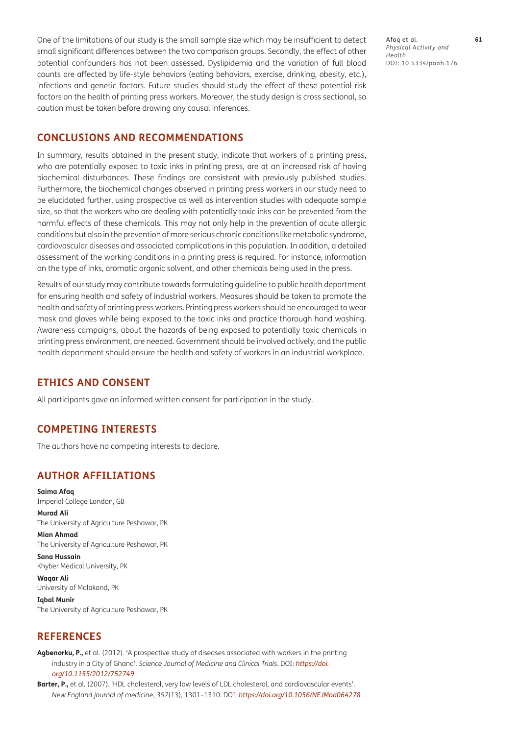One of the limitations of our study is the small sample size which may be insufficient to detect small significant differences between the two comparison groups. Secondly, the effect of other potential confounders has not been assessed. Dyslipidemia and the variation of full blood counts are affected by life-style behaviors (eating behaviors, exercise, drinking, obesity, etc.), infections and genetic factors. Future studies should study the effect of these potential risk factors on the health of printing press workers. Moreover, the study design is cross sectional, so caution must be taken before drawing any causal inferences.

#### **CONCLUSIONS AND RECOMMENDATIONS**

In summary, results obtained in the present study, indicate that workers of a printing press, who are potentially exposed to toxic inks in printing press, are at an increased risk of having biochemical disturbances. These findings are consistent with previously published studies. Furthermore, the biochemical changes observed in printing press workers in our study need to be elucidated further, using prospective as well as intervention studies with adequate sample size, so that the workers who are dealing with potentially toxic inks can be prevented from the harmful effects of these chemicals. This may not only help in the prevention of acute allergic conditions but also in the prevention of more serious chronic conditions like metabolic syndrome, cardiovascular diseases and associated complications in this population. In addition, a detailed assessment of the working conditions in a printing press is required. For instance, information on the type of inks, aromatic organic solvent, and other chemicals being used in the press.

Results of our study may contribute towards formulating guideline to public health department for ensuring health and safety of industrial workers. Measures should be taken to promote the health and safety of printing press workers. Printing press workers should be encouraged to wear mask and gloves while being exposed to the toxic inks and practice thorough hand washing. Awareness campaigns, about the hazards of being exposed to potentially toxic chemicals in printing press environment, are needed. Government should be involved actively, and the public health department should ensure the health and safety of workers in an industrial workplace.

#### **ETHICS AND CONSENT**

All participants gave an informed written consent for participation in the study.

#### **COMPETING INTERESTS**

The authors have no competing interests to declare.

#### <span id="page-6-0"></span>**AUTHOR AFFILIATIONS**

**Saima Afaq** Imperial College London, GB

**Murad Ali** The University of Agriculture Peshawar, PK

**Mian Ahmad** The University of Agriculture Peshawar, PK

**Sana Hussain** Khyber Medical University, PK

**Waqar Ali** University of Malakand, PK

**Iqbal Munir** The University of Agriculture Peshawar, PK

#### **REFERENCES**

<span id="page-6-1"></span>**Agbenorku, P.,** et al. (2012). 'A prospective study of diseases associated with workers in the printing industry in a City of Ghana'. *Science Journal of Medicine and Clinical Trials*. DOI: *[https://doi.](https://doi.org/10.1155/2012/752749) [org/10.1155/2012/752749](https://doi.org/10.1155/2012/752749)*

<span id="page-6-2"></span>**Barter, P.,** et al. (2007). 'HDL cholesterol, very low levels of LDL cholesterol, and cardiovascular events'. *New England journal of medicine*, *357*(13), 1301–1310. DOI: *<https://doi.org/10.1056/NEJMoa064278>*

Afaq et al. **61** *Physical Activity and Health* DOI: 10.5334/paah.176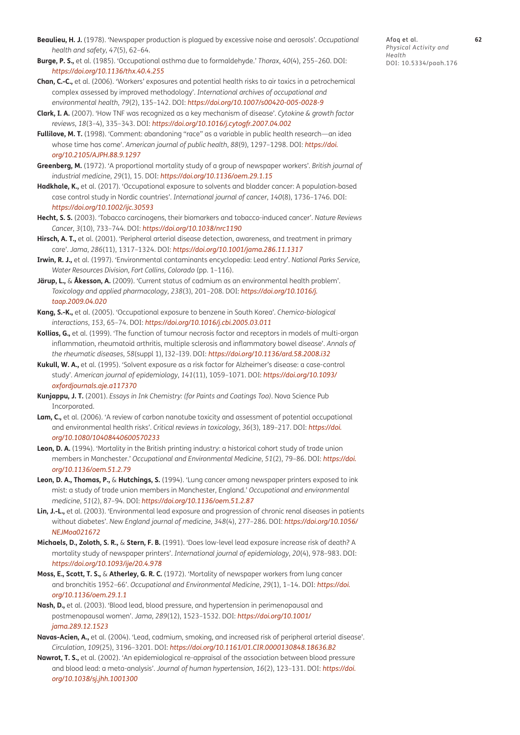- <span id="page-7-0"></span>**Beaulieu, H. J.** (1978). 'Newspaper production is plagued by excessive noise and aerosols'. *Occupational health and safety*, *47*(5), 62–64.
- <span id="page-7-23"></span>**Burge, P. S.,** et al. (1985). 'Occupational asthma due to formaldehyde.' *Thorax*, *40*(4), 255–260. DOI: *<https://doi.org/10.1136/thx.40.4.255>*
- <span id="page-7-10"></span>**Chan, C.-C.,** et al. (2006). 'Workers' exposures and potential health risks to air toxics in a petrochemical complex assessed by improved methodology'. *International archives of occupational and environmental health*, *79*(2), 135–142. DOI: *<https://doi.org/10.1007/s00420-005-0028-9>*
- <span id="page-7-21"></span>**Clark, I. A.** (2007). 'How TNF was recognized as a key mechanism of disease'. *Cytokine & growth factor reviews*, *18*(3–4), 335–343. DOI: *<https://doi.org/10.1016/j.cytogfr.2007.04.002>*
- <span id="page-7-4"></span>**Fullilove, M. T.** (1998). 'Comment: abandoning "race" as a variable in public health research—an idea whose time has come'. *American journal of public health*, *88*(9), 1297–1298. DOI: *[https://doi.](https://doi.org/10.2105/AJPH.88.9.1297) [org/10.2105/AJPH.88.9.1297](https://doi.org/10.2105/AJPH.88.9.1297)*
- <span id="page-7-6"></span>**Greenberg, M.** (1972). 'A proportional mortality study of a group of newspaper workers'. *British journal of industrial medicine*, *29*(1), 15. DOI: *<https://doi.org/10.1136/oem.29.1.15>*
- <span id="page-7-2"></span>Hadkhale, K., et al. (2017). 'Occupational exposure to solvents and bladder cancer: A population-based case control study in Nordic countries'. *International journal of cancer*, *140*(8), 1736–1746. DOI: *<https://doi.org/10.1002/ijc.30593>*
- <span id="page-7-17"></span>**Hecht, S. S.** (2003). 'Tobacco carcinogens, their biomarkers and tobacco-induced cancer'. *Nature Reviews Cancer*, *3*(10), 733–744. DOI: *<https://doi.org/10.1038/nrc1190>*
- <span id="page-7-12"></span>**Hirsch, A. T.,** et al. (2001). 'Peripheral arterial disease detection, awareness, and treatment in primary care'. *Jama*, *286*(11), 1317–1324. DOI: *<https://doi.org/10.1001/jama.286.11.1317>*
- <span id="page-7-15"></span>**Irwin, R. J.,** et al. (1997). 'Environmental contaminants encyclopedia: Lead entry'. *National Parks Service, Water Resources Division, Fort Collins, Colorado* (pp. 1–116).
- **Järup, L.,** & **Åkesson, A.** (2009). 'Current status of cadmium as an environmental health problem'. *Toxicology and applied pharmacology*, *238*(3), 201–208. DOI: *[https://doi.org/10.1016/j.](https://doi.org/10.1016/j.taap.2009.04.020) [taap.2009.04.020](https://doi.org/10.1016/j.taap.2009.04.020)*
- <span id="page-7-16"></span>**Kang, S.-K.,** et al. (2005). 'Occupational exposure to benzene in South Korea'. *Chemico-biological interactions*, *153*, 65–74. DOI: *<https://doi.org/10.1016/j.cbi.2005.03.011>*
- <span id="page-7-20"></span>**Kollias, G.,** et al. (1999). 'The function of tumour necrosis factor and receptors in models of multi-organ inflammation, rheumatoid arthritis, multiple sclerosis and inflammatory bowel disease'. *Annals of the rheumatic diseases*, *58*(suppl 1), I32–I39. DOI: *<https://doi.org/10.1136/ard.58.2008.i32>*
- <span id="page-7-22"></span>**Kukull, W. A.,** et al. (1995). 'Solvent exposure as a risk factor for Alzheimer's disease: a case-control study'. *American journal of epidemiology*, *141*(11), 1059–1071. DOI: *[https://doi.org/10.1093/](https://doi.org/10.1093/oxfordjournals.aje.a117370) [oxfordjournals.aje.a117370](https://doi.org/10.1093/oxfordjournals.aje.a117370)*
- <span id="page-7-3"></span>**Kunjappu, J. T.** (2001). *Essays in Ink Chemistry: (for Paints and Coatings Too)*. Nova Science Pub Incorporated.
- <span id="page-7-9"></span>**Lam, C.,** et al. (2006). 'A review of carbon nanotube toxicity and assessment of potential occupational and environmental health risks'. *Critical reviews in toxicology*, *36*(3), 189–217. DOI: *[https://doi.](https://doi.org/10.1080/10408440600570233) [org/10.1080/10408440600570233](https://doi.org/10.1080/10408440600570233)*
- <span id="page-7-7"></span>**Leon, D. A.** (1994). 'Mortality in the British printing industry: a historical cohort study of trade union members in Manchester.' *Occupational and Environmental Medicine*, *51*(2), 79–86. DOI: *[https://doi.](https://doi.org/10.1136/oem.51.2.79) [org/10.1136/oem.51.2.79](https://doi.org/10.1136/oem.51.2.79)*
- <span id="page-7-18"></span>**Leon, D. A., Thomas, P.,** & **Hutchings, S.** (1994). 'Lung cancer among newspaper printers exposed to ink mist: a study of trade union members in Manchester, England.' *Occupational and environmental medicine*, *51*(2), 87–94. DOI: *<https://doi.org/10.1136/oem.51.2.87>*
- <span id="page-7-14"></span>**Lin, J.-L.,** et al. (2003). 'Environmental lead exposure and progression of chronic renal diseases in patients without diabetes'. *New England journal of medicine*, *348*(4), 277–286. DOI: *[https://doi.org/10.1056/](https://doi.org/10.1056/NEJMoa021672) [NEJMoa021672](https://doi.org/10.1056/NEJMoa021672)*
- <span id="page-7-1"></span>**Michaels, D., Zoloth, S. R.,** & **Stern, F. B.** (1991). 'Does low-level lead exposure increase risk of death? A mortality study of newspaper printers'. *International journal of epidemiology*, *20*(4), 978–983. DOI: *<https://doi.org/10.1093/ije/20.4.978>*
- <span id="page-7-5"></span>**Moss, E., Scott, T. S.,** & **Atherley, G. R. C.** (1972). 'Mortality of newspaper workers from lung cancer and bronchitis 1952–66'. *Occupational and Environmental Medicine*, *29*(1), 1–14. DOI: *[https://doi.](https://doi.org/10.1136/oem.29.1.1) [org/10.1136/oem.29.1.1](https://doi.org/10.1136/oem.29.1.1)*
- <span id="page-7-13"></span>**Nash, D.,** et al. (2003). 'Blood lead, blood pressure, and hypertension in perimenopausal and postmenopausal women'. *Jama*, *289*(12), 1523–1532. DOI: *[https://doi.org/10.1001/](https://doi.org/10.1001/jama.289.12.1523) [jama.289.12.1523](https://doi.org/10.1001/jama.289.12.1523)*
- <span id="page-7-8"></span>**Navas-Acien, A.,** et al. (2004). 'Lead, cadmium, smoking, and increased risk of peripheral arterial disease'. *Circulation*, *109*(25), 3196–3201. DOI: *<https://doi.org/10.1161/01.CIR.0000130848.18636.B2>*
- <span id="page-7-19"></span><span id="page-7-11"></span>**Nawrot, T. S.,** et al. (2002). 'An epidemiological re-appraisal of the association between blood pressure and blood lead: a meta-analysis'. *Journal of human hypertension*, *16*(2), 123–131. DOI: *[https://doi.](https://doi.org/10.1038/sj.jhh.1001300) [org/10.1038/sj.jhh.1001300](https://doi.org/10.1038/sj.jhh.1001300)*

Afaq et al. **62** *Physical Activity and Health* DOI: 10.5334/paah.176